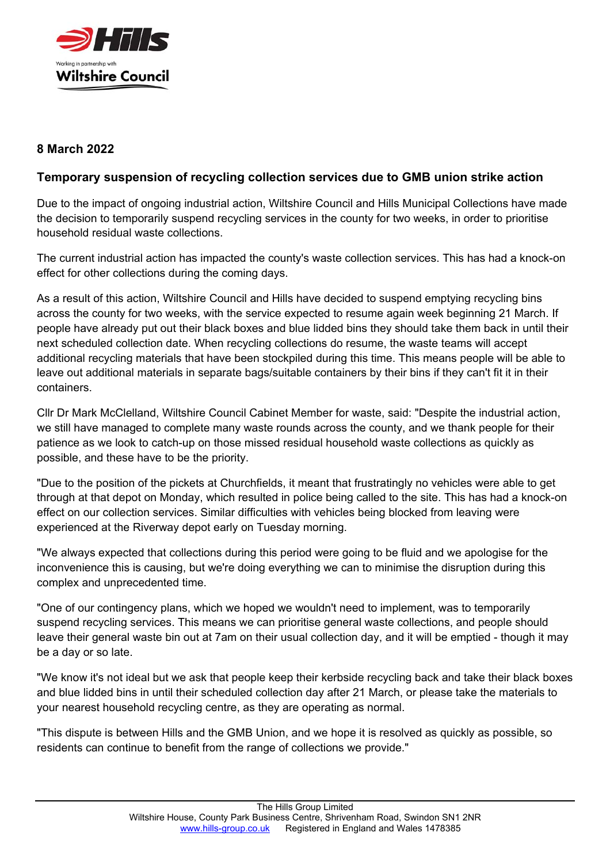

## **8 March 2022**

## **Temporary suspension of recycling collection services due to GMB union strike action**

Due to the impact of ongoing industrial action, Wiltshire Council and Hills Municipal Collections have made the decision to temporarily suspend recycling services in the county for two weeks, in order to prioritise household residual waste collections.

The current industrial action has impacted the county's waste collection services. This has had a knock-on effect for other collections during the coming days.

As a result of this action, Wiltshire Council and Hills have decided to suspend emptying recycling bins across the county for two weeks, with the service expected to resume again week beginning 21 March. If people have already put out their black boxes and blue lidded bins they should take them back in until their next scheduled collection date. When recycling collections do resume, the waste teams will accept additional recycling materials that have been stockpiled during this time. This means people will be able to leave out additional materials in separate bags/suitable containers by their bins if they can't fit it in their containers.

Cllr Dr Mark McClelland, Wiltshire Council Cabinet Member for waste, said: "Despite the industrial action, we still have managed to complete many waste rounds across the county, and we thank people for their patience as we look to catch-up on those missed residual household waste collections as quickly as possible, and these have to be the priority.

"Due to the position of the pickets at Churchfields, it meant that frustratingly no vehicles were able to get through at that depot on Monday, which resulted in police being called to the site. This has had a knock-on effect on our collection services. Similar difficulties with vehicles being blocked from leaving were experienced at the Riverway depot early on Tuesday morning.

"We always expected that collections during this period were going to be fluid and we apologise for the inconvenience this is causing, but we're doing everything we can to minimise the disruption during this complex and unprecedented time.

"One of our contingency plans, which we hoped we wouldn't need to implement, was to temporarily suspend recycling services. This means we can prioritise general waste collections, and people should leave their general waste bin out at 7am on their usual collection day, and it will be emptied - though it may be a day or so late.

"We know it's not ideal but we ask that people keep their kerbside recycling back and take their black boxes and blue lidded bins in until their scheduled collection day after 21 March, or please take the materials to your nearest household recycling centre, as they are operating as normal.

"This dispute is between Hills and the GMB Union, and we hope it is resolved as quickly as possible, so residents can continue to benefit from the range of collections we provide."